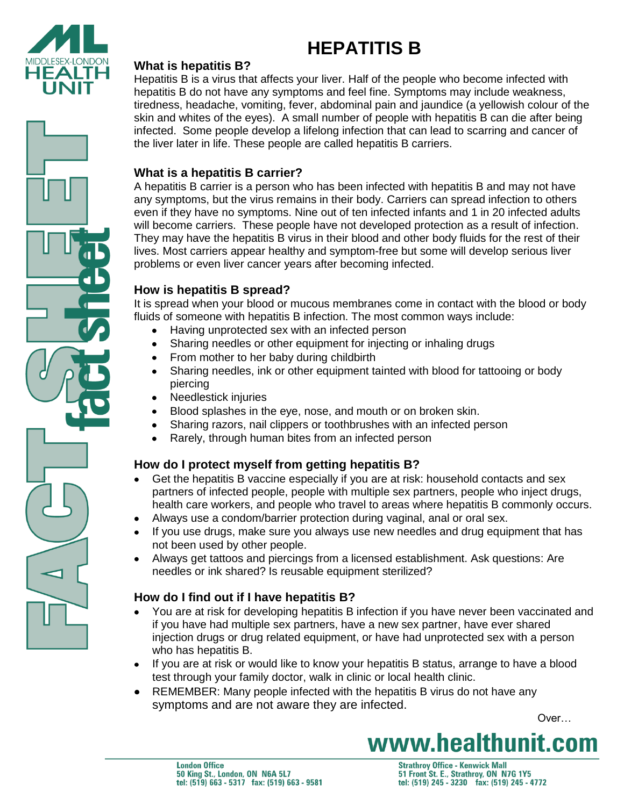



#### **What is hepatitis B?**

Hepatitis B is a virus that affects your liver. Half of the people who become infected with hepatitis B do not have any symptoms and feel fine. Symptoms may include weakness, tiredness, headache, vomiting, fever, abdominal pain and jaundice (a yellowish colour of the skin and whites of the eyes). A small number of people with hepatitis B can die after being infected. Some people develop a lifelong infection that can lead to scarring and cancer of the liver later in life. These people are called hepatitis B carriers.

#### **What is a hepatitis B carrier?**

A hepatitis B carrier is a person who has been infected with hepatitis B and may not have any symptoms, but the virus remains in their body. Carriers can spread infection to others even if they have no symptoms. Nine out of ten infected infants and 1 in 20 infected adults will become carriers. These people have not developed protection as a result of infection. They may have the hepatitis B virus in their blood and other body fluids for the rest of their lives. Most carriers appear healthy and symptom-free but some will develop serious liver problems or even liver cancer years after becoming infected.

## **How is hepatitis B spread?**

It is spread when your blood or mucous membranes come in contact with the blood or body fluids of someone with hepatitis B infection. The most common ways include:

- Having unprotected sex with an infected person
- Sharing needles or other equipment for injecting or inhaling drugs
- From mother to her baby during childbirth
- Sharing needles, ink or other equipment tainted with blood for tattooing or body piercing
- Needlestick injuries
- Blood splashes in the eye, nose, and mouth or on broken skin.
- Sharing razors, nail clippers or toothbrushes with an infected person
- Rarely, through human bites from an infected person

## **How do I protect myself from getting hepatitis B?**

- Get the hepatitis B vaccine especially if you are at risk: household contacts and sex partners of infected people, people with multiple sex partners, people who inject drugs, health care workers, and people who travel to areas where hepatitis B commonly occurs.
- Always use a condom/barrier protection during vaginal, anal or oral sex.
- If you use drugs, make sure you always use new needles and drug equipment that has not been used by other people.
- Always get tattoos and piercings from a licensed establishment. Ask questions: Are needles or ink shared? Is reusable equipment sterilized?

## **How do I find out if I have hepatitis B?**

- You are at risk for developing hepatitis B infection if you have never been vaccinated and if you have had multiple sex partners, have a new sex partner, have ever shared injection drugs or drug related equipment, or have had unprotected sex with a person who has hepatitis B.
- If you are at risk or would like to know your hepatitis B status, arrange to have a blood test through your family doctor, walk in clinic or local health clinic.
- REMEMBER: Many people infected with the hepatitis B virus do not have any symptoms and are not aware they are infected.

over… and the contract of the contract of the contract of the contract of  $\sim$ 

# www.healthunit.com